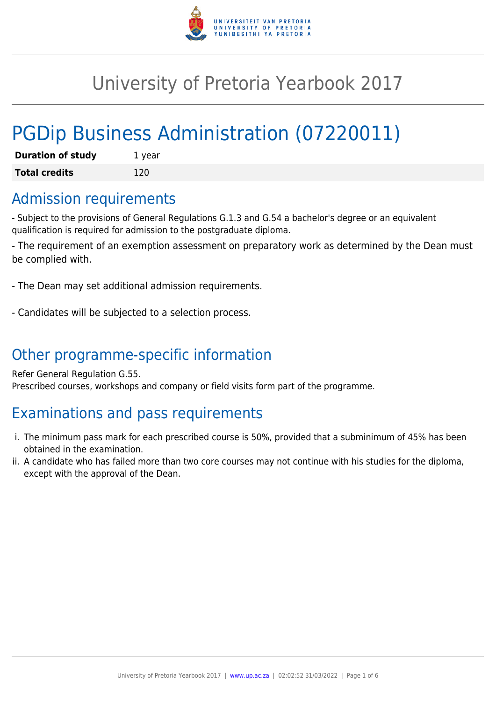

## University of Pretoria Yearbook 2017

# PGDip Business Administration (07220011)

| <b>Duration of study</b> | 1 year |
|--------------------------|--------|
| <b>Total credits</b>     | 120    |

### Admission requirements

- Subject to the provisions of General Regulations G.1.3 and G.54 a bachelor's degree or an equivalent qualification is required for admission to the postgraduate diploma.

- The requirement of an exemption assessment on preparatory work as determined by the Dean must be complied with.

- The Dean may set additional admission requirements.

- Candidates will be subjected to a selection process.

## Other programme-specific information

Refer General Regulation G.55. Prescribed courses, workshops and company or field visits form part of the programme.

## Examinations and pass requirements

- i. The minimum pass mark for each prescribed course is 50%, provided that a subminimum of 45% has been obtained in the examination.
- ii. A candidate who has failed more than two core courses may not continue with his studies for the diploma, except with the approval of the Dean.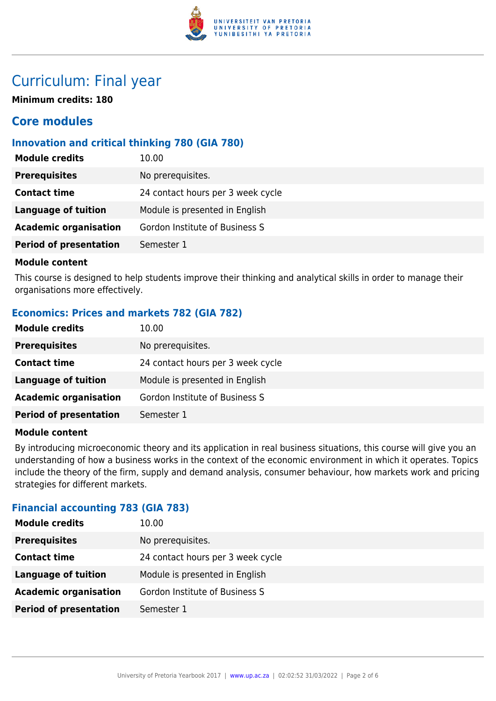

### Curriculum: Final year

**Minimum credits: 180**

### **Core modules**

#### **Innovation and critical thinking 780 (GIA 780)**

| <b>Module credits</b>         | 10.00                             |
|-------------------------------|-----------------------------------|
| <b>Prerequisites</b>          | No prerequisites.                 |
| <b>Contact time</b>           | 24 contact hours per 3 week cycle |
| <b>Language of tuition</b>    | Module is presented in English    |
| <b>Academic organisation</b>  | Gordon Institute of Business S    |
| <b>Period of presentation</b> | Semester 1                        |
|                               |                                   |

#### **Module content**

This course is designed to help students improve their thinking and analytical skills in order to manage their organisations more effectively.

#### **Economics: Prices and markets 782 (GIA 782)**

| <b>Module credits</b>         | 10.00                             |
|-------------------------------|-----------------------------------|
| <b>Prerequisites</b>          | No prerequisites.                 |
| <b>Contact time</b>           | 24 contact hours per 3 week cycle |
| <b>Language of tuition</b>    | Module is presented in English    |
| <b>Academic organisation</b>  | Gordon Institute of Business S    |
| <b>Period of presentation</b> | Semester 1                        |

#### **Module content**

By introducing microeconomic theory and its application in real business situations, this course will give you an understanding of how a business works in the context of the economic environment in which it operates. Topics include the theory of the firm, supply and demand analysis, consumer behaviour, how markets work and pricing strategies for different markets.

#### **Financial accounting 783 (GIA 783)**

| <b>Module credits</b>         | 10.00                             |
|-------------------------------|-----------------------------------|
| <b>Prerequisites</b>          | No prerequisites.                 |
| <b>Contact time</b>           | 24 contact hours per 3 week cycle |
| Language of tuition           | Module is presented in English    |
| <b>Academic organisation</b>  | Gordon Institute of Business S    |
| <b>Period of presentation</b> | Semester 1                        |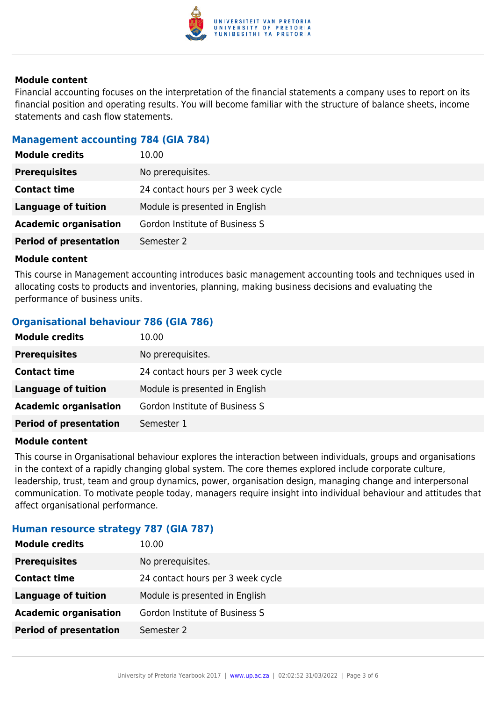

#### **Module content**

Financial accounting focuses on the interpretation of the financial statements a company uses to report on its financial position and operating results. You will become familiar with the structure of balance sheets, income statements and cash flow statements.

#### **Management accounting 784 (GIA 784)**

| <b>Module credits</b>         | 10.00                             |
|-------------------------------|-----------------------------------|
| <b>Prerequisites</b>          | No prerequisites.                 |
| <b>Contact time</b>           | 24 contact hours per 3 week cycle |
| Language of tuition           | Module is presented in English    |
| <b>Academic organisation</b>  | Gordon Institute of Business S    |
| <b>Period of presentation</b> | Semester 2                        |

#### **Module content**

This course in Management accounting introduces basic management accounting tools and techniques used in allocating costs to products and inventories, planning, making business decisions and evaluating the performance of business units.

#### **Organisational behaviour 786 (GIA 786)**

| <b>Module credits</b>         | 10.00                             |
|-------------------------------|-----------------------------------|
| <b>Prerequisites</b>          | No prerequisites.                 |
| <b>Contact time</b>           | 24 contact hours per 3 week cycle |
| Language of tuition           | Module is presented in English    |
| <b>Academic organisation</b>  | Gordon Institute of Business S    |
| <b>Period of presentation</b> | Semester 1                        |

#### **Module content**

This course in Organisational behaviour explores the interaction between individuals, groups and organisations in the context of a rapidly changing global system. The core themes explored include corporate culture, leadership, trust, team and group dynamics, power, organisation design, managing change and interpersonal communication. To motivate people today, managers require insight into individual behaviour and attitudes that affect organisational performance.

#### **Human resource strategy 787 (GIA 787)**

| <b>Module credits</b>         | 10.00                             |
|-------------------------------|-----------------------------------|
| <b>Prerequisites</b>          | No prerequisites.                 |
| <b>Contact time</b>           | 24 contact hours per 3 week cycle |
| Language of tuition           | Module is presented in English    |
| <b>Academic organisation</b>  | Gordon Institute of Business S    |
| <b>Period of presentation</b> | Semester 2                        |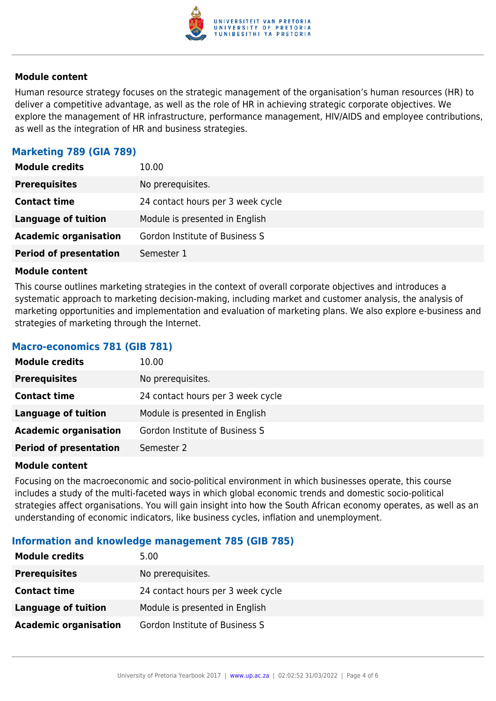

#### **Module content**

Human resource strategy focuses on the strategic management of the organisation's human resources (HR) to deliver a competitive advantage, as well as the role of HR in achieving strategic corporate objectives. We explore the management of HR infrastructure, performance management, HIV/AIDS and employee contributions, as well as the integration of HR and business strategies.

#### **Marketing 789 (GIA 789)**

| <b>Module credits</b>         | 10.00                             |
|-------------------------------|-----------------------------------|
| <b>Prerequisites</b>          | No prerequisites.                 |
| <b>Contact time</b>           | 24 contact hours per 3 week cycle |
| Language of tuition           | Module is presented in English    |
| <b>Academic organisation</b>  | Gordon Institute of Business S    |
| <b>Period of presentation</b> | Semester 1                        |

#### **Module content**

This course outlines marketing strategies in the context of overall corporate objectives and introduces a systematic approach to marketing decision-making, including market and customer analysis, the analysis of marketing opportunities and implementation and evaluation of marketing plans. We also explore e-business and strategies of marketing through the Internet.

#### **Macro-economics 781 (GIB 781)**

| <b>Module credits</b>         | 10.00                             |
|-------------------------------|-----------------------------------|
| <b>Prerequisites</b>          | No prerequisites.                 |
| <b>Contact time</b>           | 24 contact hours per 3 week cycle |
| Language of tuition           | Module is presented in English    |
| <b>Academic organisation</b>  | Gordon Institute of Business S    |
| <b>Period of presentation</b> | Semester 2                        |

#### **Module content**

Focusing on the macroeconomic and socio-political environment in which businesses operate, this course includes a study of the multi-faceted ways in which global economic trends and domestic socio-political strategies affect organisations. You will gain insight into how the South African economy operates, as well as an understanding of economic indicators, like business cycles, inflation and unemployment.

#### **Information and knowledge management 785 (GIB 785)**

| <b>Module credits</b>        | 5.00                              |
|------------------------------|-----------------------------------|
| <b>Prerequisites</b>         | No prerequisites.                 |
| <b>Contact time</b>          | 24 contact hours per 3 week cycle |
| Language of tuition          | Module is presented in English    |
| <b>Academic organisation</b> | Gordon Institute of Business S    |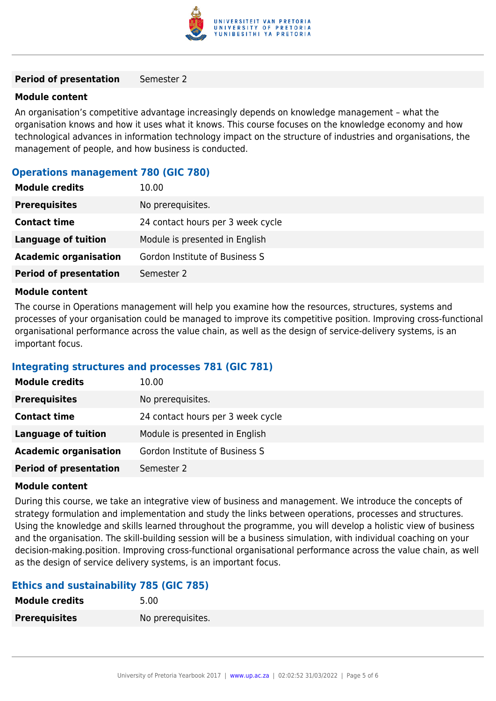

#### **Period of presentation** Semester 2

#### **Module content**

An organisation's competitive advantage increasingly depends on knowledge management – what the organisation knows and how it uses what it knows. This course focuses on the knowledge economy and how technological advances in information technology impact on the structure of industries and organisations, the management of people, and how business is conducted.

#### **Operations management 780 (GIC 780)**

| No prerequisites.<br><b>Prerequisites</b><br><b>Contact time</b><br>24 contact hours per 3 week cycle |
|-------------------------------------------------------------------------------------------------------|
|                                                                                                       |
|                                                                                                       |
| <b>Language of tuition</b><br>Module is presented in English                                          |
| <b>Academic organisation</b><br>Gordon Institute of Business S                                        |
| <b>Period of presentation</b><br>Semester 2                                                           |

#### **Module content**

The course in Operations management will help you examine how the resources, structures, systems and processes of your organisation could be managed to improve its competitive position. Improving cross-functional organisational performance across the value chain, as well as the design of service-delivery systems, is an important focus.

#### **Integrating structures and processes 781 (GIC 781)**

| <b>Module credits</b>         | 10.00                             |
|-------------------------------|-----------------------------------|
| <b>Prerequisites</b>          | No prerequisites.                 |
| <b>Contact time</b>           | 24 contact hours per 3 week cycle |
| Language of tuition           | Module is presented in English    |
| <b>Academic organisation</b>  | Gordon Institute of Business S    |
| <b>Period of presentation</b> | Semester 2                        |

#### **Module content**

During this course, we take an integrative view of business and management. We introduce the concepts of strategy formulation and implementation and study the links between operations, processes and structures. Using the knowledge and skills learned throughout the programme, you will develop a holistic view of business and the organisation. The skill-building session will be a business simulation, with individual coaching on your decision-making.position. Improving cross-functional organisational performance across the value chain, as well as the design of service delivery systems, is an important focus.

#### **Ethics and sustainability 785 (GIC 785)**

| <b>Module credits</b> | 5.00              |
|-----------------------|-------------------|
| <b>Prerequisites</b>  | No prerequisites. |